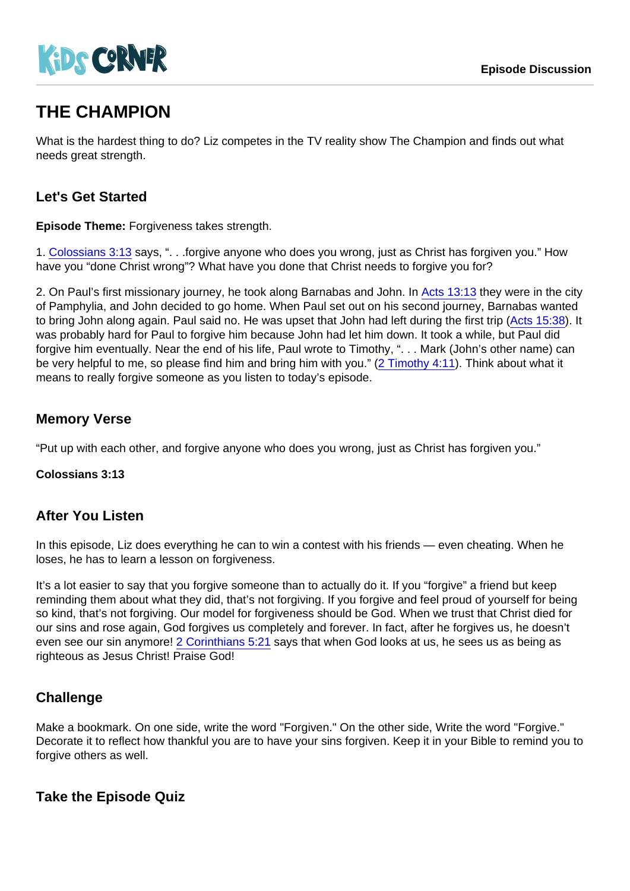# THE CHAMPION

What is the hardest thing to do? Liz competes in the TV reality show The Champion and finds out what needs great strength.

## Let's Get Started

Episode Theme: Forgiveness takes strength.

1. [Colossians 3:13](https://www.biblegateway.com/passage/?search=Colossians+3:13) says, ". . .forgive anyone who does you wrong, just as Christ has forgiven you." How have you "done Christ wrong"? What have you done that Christ needs to forgive you for?

2. On Paul's first missionary journey, he took along Barnabas and John. In [Acts 13:13](https://www.biblegateway.com/passage/?search=Acts+13:13) they were in the city of Pamphylia, and John decided to go home. When Paul set out on his second journey, Barnabas wanted to bring John along again. Paul said no. He was upset that John had left during the first trip [\(Acts 15:38](https://www.biblegateway.com/passage/?search=Acts+15:38)). It was probably hard for Paul to forgive him because John had let him down. It took a while, but Paul did forgive him eventually. Near the end of his life, Paul wrote to Timothy, ". . . Mark (John's other name) can be very helpful to me, so please find him and bring him with you." [\(2 Timothy 4:11](https://www.biblegateway.com/passage/?search=2+Timothy+4:11)). Think about what it means to really forgive someone as you listen to today's episode.

## Memory Verse

"Put up with each other, and forgive anyone who does you wrong, just as Christ has forgiven you."

Colossians 3:13

### After You Listen

In this episode, Liz does everything he can to win a contest with his friends — even cheating. When he loses, he has to learn a lesson on forgiveness.

It's a lot easier to say that you forgive someone than to actually do it. If you "forgive" a friend but keep reminding them about what they did, that's not forgiving. If you forgive and feel proud of yourself for being so kind, that's not forgiving. Our model for forgiveness should be God. When we trust that Christ died for our sins and rose again, God forgives us completely and forever. In fact, after he forgives us, he doesn't even see our sin anymore! [2 Corinthians 5:21](https://www.biblegateway.com/passage/?search=2+Corinthians+5:21) says that when God looks at us, he sees us as being as righteous as Jesus Christ! Praise God!

### **Challenge**

Make a bookmark. On one side, write the word "Forgiven." On the other side, Write the word "Forgive." Decorate it to reflect how thankful you are to have your sins forgiven. Keep it in your Bible to remind you to forgive others as well.

Take the Episode Quiz